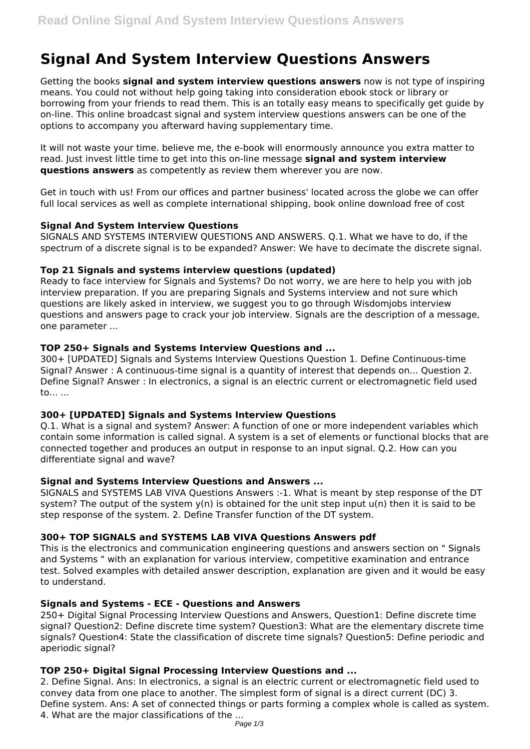# **Signal And System Interview Questions Answers**

Getting the books **signal and system interview questions answers** now is not type of inspiring means. You could not without help going taking into consideration ebook stock or library or borrowing from your friends to read them. This is an totally easy means to specifically get guide by on-line. This online broadcast signal and system interview questions answers can be one of the options to accompany you afterward having supplementary time.

It will not waste your time. believe me, the e-book will enormously announce you extra matter to read. Just invest little time to get into this on-line message **signal and system interview questions answers** as competently as review them wherever you are now.

Get in touch with us! From our offices and partner business' located across the globe we can offer full local services as well as complete international shipping, book online download free of cost

## **Signal And System Interview Questions**

SIGNALS AND SYSTEMS INTERVIEW QUESTIONS AND ANSWERS. Q.1. What we have to do, if the spectrum of a discrete signal is to be expanded? Answer: We have to decimate the discrete signal.

## **Top 21 Signals and systems interview questions (updated)**

Ready to face interview for Signals and Systems? Do not worry, we are here to help you with job interview preparation. If you are preparing Signals and Systems interview and not sure which questions are likely asked in interview, we suggest you to go through Wisdomjobs interview questions and answers page to crack your job interview. Signals are the description of a message, one parameter ...

# **TOP 250+ Signals and Systems Interview Questions and ...**

300+ [UPDATED] Signals and Systems Interview Questions Question 1. Define Continuous-time Signal? Answer : A continuous-time signal is a quantity of interest that depends on... Question 2. Define Signal? Answer : In electronics, a signal is an electric current or electromagnetic field used to... ...

## **300+ [UPDATED] Signals and Systems Interview Questions**

Q.1. What is a signal and system? Answer: A function of one or more independent variables which contain some information is called signal. A system is a set of elements or functional blocks that are connected together and produces an output in response to an input signal. Q.2. How can you differentiate signal and wave?

## **Signal and Systems Interview Questions and Answers ...**

SIGNALS and SYSTEMS LAB VIVA Questions Answers :-1. What is meant by step response of the DT system? The output of the system  $y(n)$  is obtained for the unit step input  $u(n)$  then it is said to be step response of the system. 2. Define Transfer function of the DT system.

# **300+ TOP SIGNALS and SYSTEMS LAB VIVA Questions Answers pdf**

This is the electronics and communication engineering questions and answers section on " Signals and Systems " with an explanation for various interview, competitive examination and entrance test. Solved examples with detailed answer description, explanation are given and it would be easy to understand.

## **Signals and Systems - ECE - Questions and Answers**

250+ Digital Signal Processing Interview Questions and Answers, Question1: Define discrete time signal? Question2: Define discrete time system? Question3: What are the elementary discrete time signals? Question4: State the classification of discrete time signals? Question5: Define periodic and aperiodic signal?

## **TOP 250+ Digital Signal Processing Interview Questions and ...**

2. Define Signal. Ans: In electronics, a signal is an electric current or electromagnetic field used to convey data from one place to another. The simplest form of signal is a direct current (DC) 3. Define system. Ans: A set of connected things or parts forming a complex whole is called as system. 4. What are the major classifications of the ...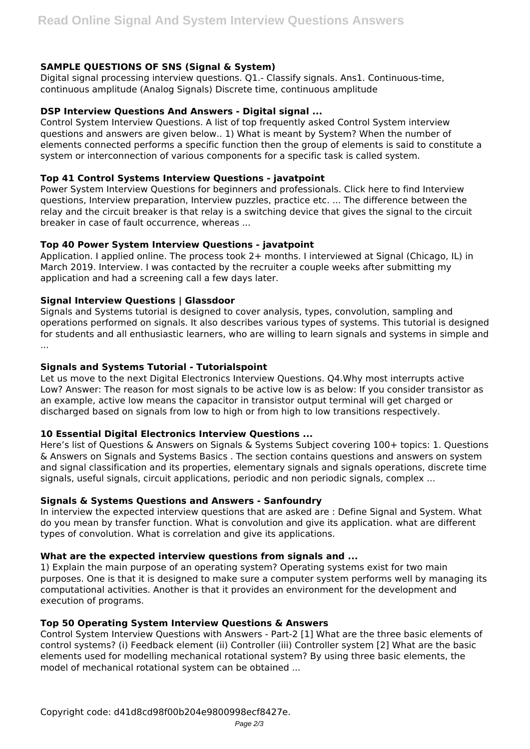# **SAMPLE QUESTIONS OF SNS (Signal & System)**

Digital signal processing interview questions. Q1.- Classify signals. Ans1. Continuous-time, continuous amplitude (Analog Signals) Discrete time, continuous amplitude

#### **DSP Interview Questions And Answers - Digital signal ...**

Control System Interview Questions. A list of top frequently asked Control System interview questions and answers are given below.. 1) What is meant by System? When the number of elements connected performs a specific function then the group of elements is said to constitute a system or interconnection of various components for a specific task is called system.

#### **Top 41 Control Systems Interview Questions - javatpoint**

Power System Interview Questions for beginners and professionals. Click here to find Interview questions, Interview preparation, Interview puzzles, practice etc. ... The difference between the relay and the circuit breaker is that relay is a switching device that gives the signal to the circuit breaker in case of fault occurrence, whereas ...

## **Top 40 Power System Interview Questions - javatpoint**

Application. I applied online. The process took 2+ months. I interviewed at Signal (Chicago, IL) in March 2019. Interview. I was contacted by the recruiter a couple weeks after submitting my application and had a screening call a few days later.

#### **Signal Interview Questions | Glassdoor**

Signals and Systems tutorial is designed to cover analysis, types, convolution, sampling and operations performed on signals. It also describes various types of systems. This tutorial is designed for students and all enthusiastic learners, who are willing to learn signals and systems in simple and ...

#### **Signals and Systems Tutorial - Tutorialspoint**

Let us move to the next Digital Electronics Interview Questions. Q4.Why most interrupts active Low? Answer: The reason for most signals to be active low is as below: If you consider transistor as an example, active low means the capacitor in transistor output terminal will get charged or discharged based on signals from low to high or from high to low transitions respectively.

#### **10 Essential Digital Electronics Interview Questions ...**

Here's list of Questions & Answers on Signals & Systems Subject covering 100+ topics: 1. Questions & Answers on Signals and Systems Basics . The section contains questions and answers on system and signal classification and its properties, elementary signals and signals operations, discrete time signals, useful signals, circuit applications, periodic and non periodic signals, complex ...

#### **Signals & Systems Questions and Answers - Sanfoundry**

In interview the expected interview questions that are asked are : Define Signal and System. What do you mean by transfer function. What is convolution and give its application. what are different types of convolution. What is correlation and give its applications.

#### **What are the expected interview questions from signals and ...**

1) Explain the main purpose of an operating system? Operating systems exist for two main purposes. One is that it is designed to make sure a computer system performs well by managing its computational activities. Another is that it provides an environment for the development and execution of programs.

#### **Top 50 Operating System Interview Questions & Answers**

Control System Interview Questions with Answers - Part-2 [1] What are the three basic elements of control systems? (i) Feedback element (ii) Controller (iii) Controller system [2] What are the basic elements used for modelling mechanical rotational system? By using three basic elements, the model of mechanical rotational system can be obtained ...